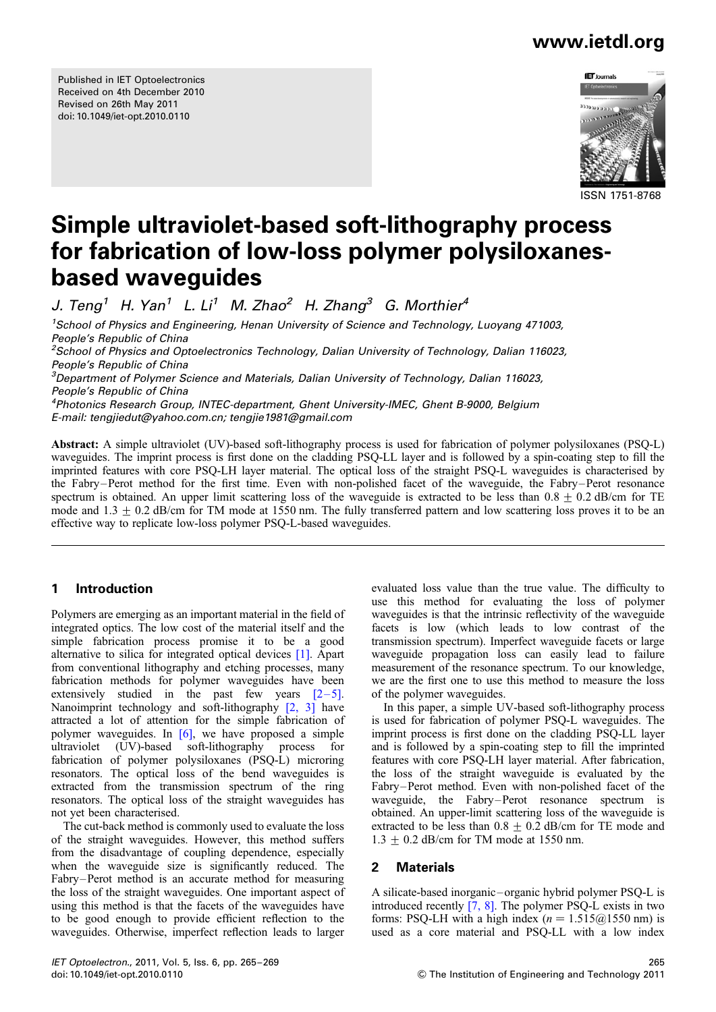Published in IET Optoelectronics Received on 4th December 2010 Revised on 26th May 2011 doi: 10.1049/iet-opt.2010.0110



ISSN 1751-8768

# Simple ultraviolet-based soft-lithography process for fabrication of low-loss polymer polysiloxanesbased waveguides

J. Teng<sup>1</sup> H. Yan<sup>1</sup> L. Li<sup>1</sup> M. Zhao<sup>2</sup> H. Zhang<sup>3</sup> G. Morthier<sup>4</sup>

<sup>1</sup>School of Physics and Engineering, Henan University of Science and Technology, Luoyang 471003, People's Republic of China <sup>2</sup>School of Physics and Optoelectronics Technology, Dalian University of Technology, Dalian 116023, People's Republic of China <sup>3</sup>Department of Polymer Science and Materials, Dalian University of Technology, Dalian 116023, People's Republic of China

4 Photonics Research Group, INTEC-department, Ghent University-IMEC, Ghent B-9000, Belgium E-mail: tengjiedut@yahoo.com.cn; tengjie1981@gmail.com

Abstract: A simple ultraviolet (UV)-based soft-lithography process is used for fabrication of polymer polysiloxanes (PSQ-L) waveguides. The imprint process is first done on the cladding PSQ-LL layer and is followed by a spin-coating step to fill the imprinted features with core PSQ-LH layer material. The optical loss of the straight PSQ-L waveguides is characterised by the Fabry–Perot method for the first time. Even with non-polished facet of the waveguide, the Fabry–Perot resonance spectrum is obtained. An upper limit scattering loss of the waveguide is extracted to be less than  $0.8 + 0.2$  dB/cm for TE mode and  $1.3 + 0.2$  dB/cm for TM mode at 1550 nm. The fully transferred pattern and low scattering loss proves it to be an effective way to replicate low-loss polymer PSQ-L-based waveguides.

## 1 Introduction

Polymers are emerging as an important material in the field of integrated optics. The low cost of the material itself and the simple fabrication process promise it to be a good alternative to silica for integrated optical devices [1]. Apart from conventional lithography and etching processes, many fabrication methods for polymer waveguides have been extensively studied in the past few years  $[2-5]$ . Nanoimprint technology and soft-lithography [2, 3] have attracted a lot of attention for the simple fabrication of polymer waveguides. In  $[6]$ , we have proposed a simple ultraviolet (UV)-based soft-lithography process for fabrication of polymer polysiloxanes (PSQ-L) microring resonators. The optical loss of the bend waveguides is extracted from the transmission spectrum of the ring resonators. The optical loss of the straight waveguides has not yet been characterised.

The cut-back method is commonly used to evaluate the loss of the straight waveguides. However, this method suffers from the disadvantage of coupling dependence, especially when the waveguide size is significantly reduced. The Fabry–Perot method is an accurate method for measuring the loss of the straight waveguides. One important aspect of using this method is that the facets of the waveguides have to be good enough to provide efficient reflection to the waveguides. Otherwise, imperfect reflection leads to larger evaluated loss value than the true value. The difficulty to use this method for evaluating the loss of polymer waveguides is that the intrinsic reflectivity of the waveguide facets is low (which leads to low contrast of the transmission spectrum). Imperfect waveguide facets or large waveguide propagation loss can easily lead to failure measurement of the resonance spectrum. To our knowledge, we are the first one to use this method to measure the loss of the polymer waveguides.

In this paper, a simple UV-based soft-lithography process is used for fabrication of polymer PSQ-L waveguides. The imprint process is first done on the cladding PSQ-LL layer and is followed by a spin-coating step to fill the imprinted features with core PSQ-LH layer material. After fabrication, the loss of the straight waveguide is evaluated by the Fabry–Perot method. Even with non-polished facet of the waveguide, the Fabry–Perot resonance spectrum is obtained. An upper-limit scattering loss of the waveguide is extracted to be less than  $0.8 + 0.2$  dB/cm for TE mode and  $1.3 + 0.2$  dB/cm for TM mode at 1550 nm.

## 2 Materials

A silicate-based inorganic – organic hybrid polymer PSQ-L is introduced recently [7, 8]. The polymer PSQ-L exists in two forms: PSQ-LH with a high index ( $n = 1.515\omega/1550$  nm) is used as a core material and PSQ-LL with a low index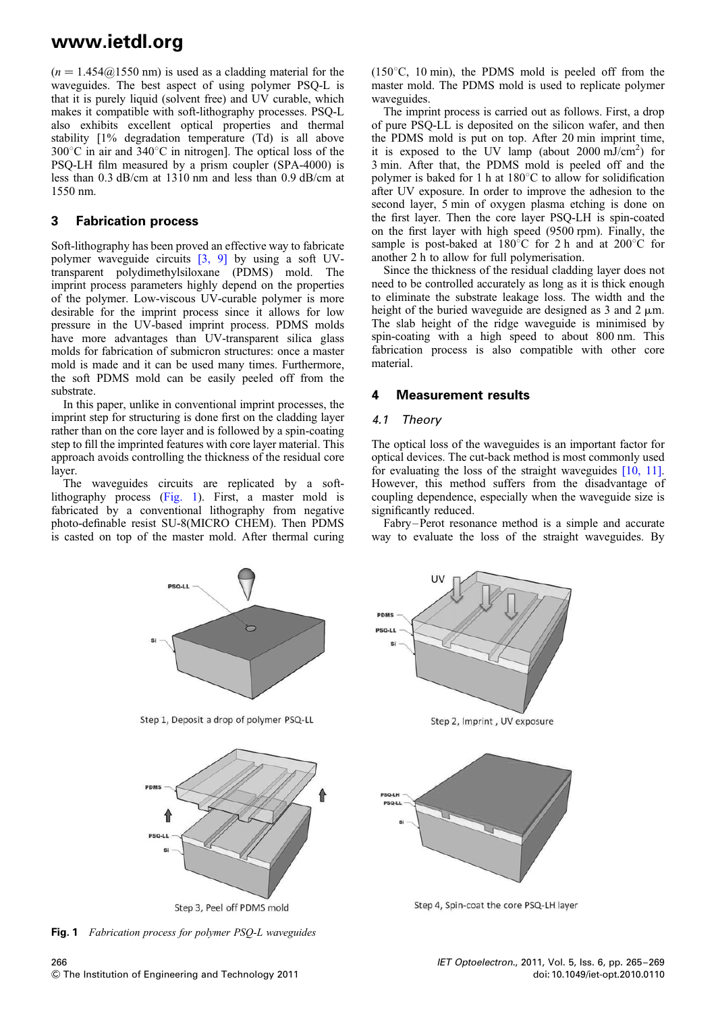$(n = 1.454@1550$  nm) is used as a cladding material for the waveguides. The best aspect of using polymer PSQ-L is that it is purely liquid (solvent free) and UV curable, which makes it compatible with soft-lithography processes. PSQ-L also exhibits excellent optical properties and thermal stability [1% degradation temperature (Td) is all above  $300^{\circ}$ C in air and  $340^{\circ}$ C in nitrogen]. The optical loss of the PSQ-LH film measured by a prism coupler (SPA-4000) is less than 0.3 dB/cm at 1310 nm and less than 0.9 dB/cm at 1550 nm.

### 3 Fabrication process

Soft-lithography has been proved an effective way to fabricate polymer waveguide circuits [3, 9] by using a soft UVtransparent polydimethylsiloxane (PDMS) mold. The imprint process parameters highly depend on the properties of the polymer. Low-viscous UV-curable polymer is more desirable for the imprint process since it allows for low pressure in the UV-based imprint process. PDMS molds have more advantages than UV-transparent silica glass molds for fabrication of submicron structures: once a master mold is made and it can be used many times. Furthermore, the soft PDMS mold can be easily peeled off from the substrate.

In this paper, unlike in conventional imprint processes, the imprint step for structuring is done first on the cladding layer rather than on the core layer and is followed by a spin-coating step to fill the imprinted features with core layer material. This approach avoids controlling the thickness of the residual core layer.

The waveguides circuits are replicated by a softlithography process (Fig. 1). First, a master mold is fabricated by a conventional lithography from negative photo-definable resist SU-8(MICRO CHEM). Then PDMS is casted on top of the master mold. After thermal curing

**DSOJI** 

( $150^{\circ}$ C,  $10$  min), the PDMS mold is peeled off from the master mold. The PDMS mold is used to replicate polymer waveguides.

The imprint process is carried out as follows. First, a drop of pure PSQ-LL is deposited on the silicon wafer, and then the PDMS mold is put on top. After 20 min imprint time, it is exposed to the UV lamp (about 2000 mJ/cm<sup>2</sup>) for 3 min. After that, the PDMS mold is peeled off and the polymer is baked for 1 h at  $180^{\circ}$ C to allow for solidification after UV exposure. In order to improve the adhesion to the second layer, 5 min of oxygen plasma etching is done on the first layer. Then the core layer PSQ-LH is spin-coated on the first layer with high speed (9500 rpm). Finally, the sample is post-baked at  $180^{\circ}$ C for 2 h and at  $200^{\circ}$ C for another 2 h to allow for full polymerisation.

Since the thickness of the residual cladding layer does not need to be controlled accurately as long as it is thick enough to eliminate the substrate leakage loss. The width and the height of the buried waveguide are designed as  $3$  and  $2 \mu m$ . The slab height of the ridge waveguide is minimised by spin-coating with a high speed to about 800 nm. This fabrication process is also compatible with other core material.

### 4 Measurement results

#### 4.1 Theory

The optical loss of the waveguides is an important factor for optical devices. The cut-back method is most commonly used for evaluating the loss of the straight waveguides  $[10, 11]$ . However, this method suffers from the disadvantage of coupling dependence, especially when the waveguide size is significantly reduced.

Fabry–Perot resonance method is a simple and accurate way to evaluate the loss of the straight waveguides. By



Step 3, Peel off PDMS mold

Fig. 1 Fabrication process for polymer PSQ-L waveguides



Step 2, Imprint, UV exposure



Step 4. Spin-coat the core PSO-LH laver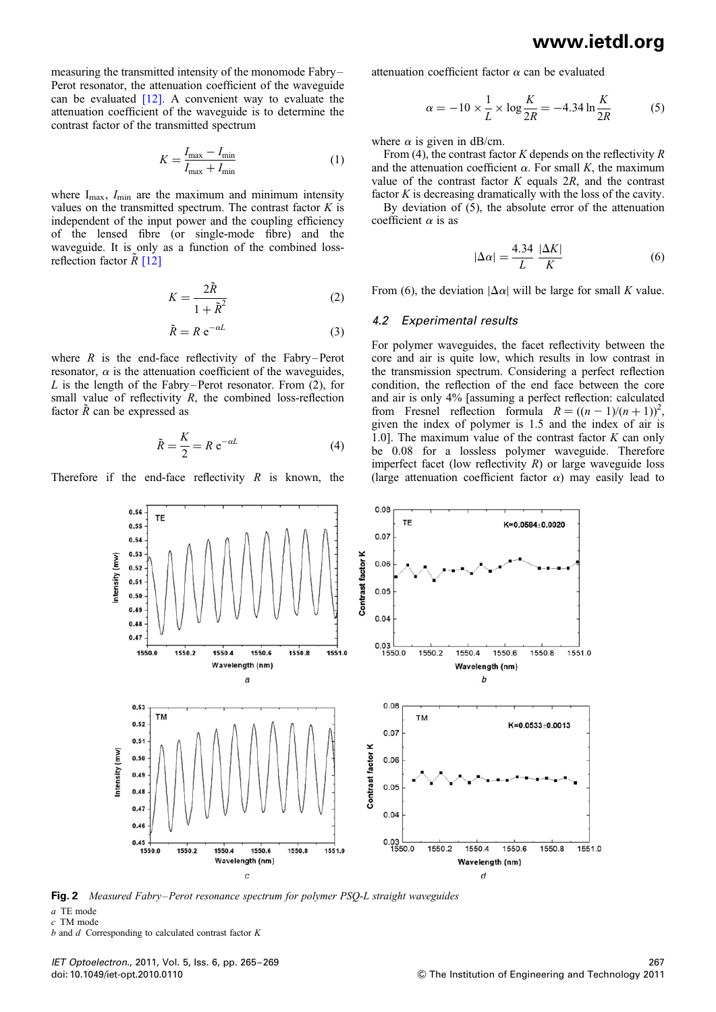measuring the transmitted intensity of the monomode Fabry– Perot resonator, the attenuation coefficient of the waveguide can be evaluated  $[12]$ . A convenient way to evaluate the attenuation coefficient of the waveguide is to determine the contrast factor of the transmitted spectrum

$$
K = \frac{I_{\text{max}} - I_{\text{min}}}{I_{\text{max}} + I_{\text{min}}} \tag{1}
$$

where  $I_{\text{max}}$ ,  $I_{\text{min}}$  are the maximum and minimum intensity values on the transmitted spectrum. The contrast factor  $K$  is independent of the input power and the coupling efficiency of the lensed fibre (or single-mode fibre) and the waveguide. It is only as a function of the combined lossreflection factor  $\tilde{R}$  [12]

$$
K = \frac{2\tilde{R}}{1 + \tilde{R}^2} \tag{2}
$$

$$
\tilde{R} = R e^{-\alpha L} \tag{3}
$$

where  $R$  is the end-face reflectivity of the Fabry–Perot resonator,  $\alpha$  is the attenuation coefficient of the waveguides, L is the length of the Fabry–Perot resonator. From  $(2)$ , for small value of reflectivity  $R$ , the combined loss-reflection factor  $\tilde{R}$  can be expressed as

$$
\tilde{R} = \frac{K}{2} = R e^{-\alpha L} \tag{4}
$$

Therefore if the end-face reflectivity  $R$  is known, the

attenuation coefficient factor  $\alpha$  can be evaluated

$$
\alpha = -10 \times \frac{1}{L} \times \log \frac{K}{2R} = -4.34 \ln \frac{K}{2R}
$$
 (5)

where  $\alpha$  is given in dB/cm.

From (4), the contrast factor K depends on the reflectivity  $R$ and the attenuation coefficient  $\alpha$ . For small K, the maximum value of the contrast factor  $K$  equals  $2R$ , and the contrast factor  $K$  is decreasing dramatically with the loss of the cavity.

By deviation of (5), the absolute error of the attenuation coefficient  $\alpha$  is as

$$
|\Delta \alpha| = \frac{4.34}{L} \frac{|\Delta K|}{K}
$$
 (6)

From (6), the deviation  $|\Delta \alpha|$  will be large for small K value.

#### 4.2 Experimental results

For polymer waveguides, the facet reflectivity between the core and air is quite low, which results in low contrast in the transmission spectrum. Considering a perfect reflection condition, the reflection of the end face between the core and air is only 4% [assuming a perfect reflection: calculated from Fresnel reflection formula  $R = ((n - 1)/(n + 1))^2$ , given the index of polymer is 1.5 and the index of air is 1.0]. The maximum value of the contrast factor  $K$  can only be 0.08 for a lossless polymer waveguide. Therefore imperfect facet (low reflectivity  $R$ ) or large waveguide loss (large attenuation coefficient factor  $\alpha$ ) may easily lead to



Fig. 2 Measured Fabry–Perot resonance spectrum for polymer PSQ-L straight waveguides

a TE mode

c TM mode

 $b$  and  $d$  Corresponding to calculated contrast factor  $K$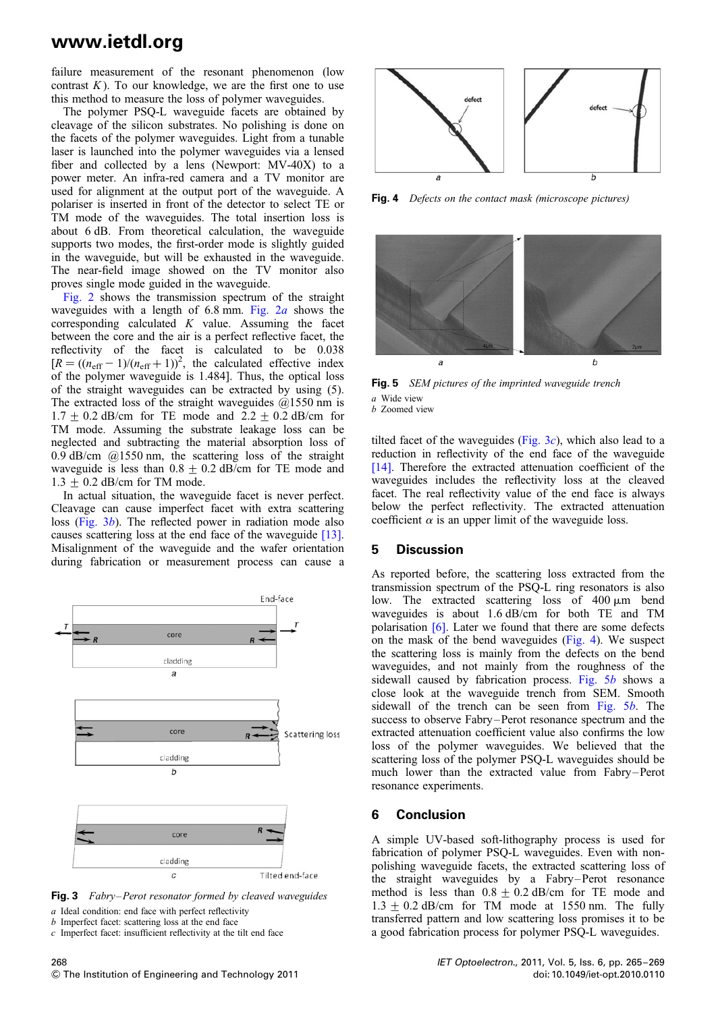failure measurement of the resonant phenomenon (low contrast  $K$ ). To our knowledge, we are the first one to use this method to measure the loss of polymer waveguides.

The polymer PSQ-L waveguide facets are obtained by cleavage of the silicon substrates. No polishing is done on the facets of the polymer waveguides. Light from a tunable laser is launched into the polymer waveguides via a lensed fiber and collected by a lens (Newport: MV-40X) to a power meter. An infra-red camera and a TV monitor are used for alignment at the output port of the waveguide. A polariser is inserted in front of the detector to select TE or TM mode of the waveguides. The total insertion loss is about 6 dB. From theoretical calculation, the waveguide supports two modes, the first-order mode is slightly guided in the waveguide, but will be exhausted in the waveguide. The near-field image showed on the TV monitor also proves single mode guided in the waveguide.

Fig. 2 shows the transmission spectrum of the straight waveguides with a length of 6.8 mm. Fig.  $2a$  shows the corresponding calculated  $K$  value. Assuming the facet between the core and the air is a perfect reflective facet, the reflectivity of the facet is calculated to be 0.038  $[R = ((n_{\text{eff}} - 1)/(n_{\text{eff}} + 1))^2]$ , the calculated effective index of the polymer waveguide is 1.484]. Thus, the optical loss of the straight waveguides can be extracted by using (5). The extracted loss of the straight waveguides  $(21550 \text{ nm})$  is  $1.7 \pm 0.2$  dB/cm for TE mode and  $2.2 \pm 0.2$  dB/cm for TM mode. Assuming the substrate leakage loss can be neglected and subtracting the material absorption loss of 0.9 dB/cm  $(a)$ 1550 nm, the scattering loss of the straight waveguide is less than  $0.8 \pm 0.2$  dB/cm for TE mode and  $1.3 + 0.2$  dB/cm for TM mode.

In actual situation, the waveguide facet is never perfect. Cleavage can cause imperfect facet with extra scattering loss (Fig. 3b). The reflected power in radiation mode also causes scattering loss at the end face of the waveguide [13]. Misalignment of the waveguide and the wafer orientation during fabrication or measurement process can cause a



Fig. 3 Fabry–Perot resonator formed by cleaved waveguides

a Ideal condition: end face with perfect reflectivity

b Imperfect facet: scattering loss at the end face c Imperfect facet: insufficient reflectivity at the tilt end face



Fig. 4 Defects on the contact mask (microscope pictures)



Fig. 5 SEM pictures of the imprinted waveguide trench a Wide view b Zoomed view

tilted facet of the waveguides (Fig.  $3c$ ), which also lead to a reduction in reflectivity of the end face of the waveguide [14]. Therefore the extracted attenuation coefficient of the waveguides includes the reflectivity loss at the cleaved facet. The real reflectivity value of the end face is always below the perfect reflectivity. The extracted attenuation coefficient  $\alpha$  is an upper limit of the waveguide loss.

#### 5 Discussion

As reported before, the scattering loss extracted from the transmission spectrum of the PSQ-L ring resonators is also low. The extracted scattering loss of  $400 \mu m$  bend waveguides is about 1.6 dB/cm for both TE and TM polarisation [6]. Later we found that there are some defects on the mask of the bend waveguides (Fig. 4). We suspect the scattering loss is mainly from the defects on the bend waveguides, and not mainly from the roughness of the sidewall caused by fabrication process. Fig. 5b shows a close look at the waveguide trench from SEM. Smooth sidewall of the trench can be seen from Fig. 5b. The success to observe Fabry-Perot resonance spectrum and the extracted attenuation coefficient value also confirms the low loss of the polymer waveguides. We believed that the scattering loss of the polymer PSQ-L waveguides should be much lower than the extracted value from Fabry –Perot resonance experiments.

#### 6 Conclusion

A simple UV-based soft-lithography process is used for fabrication of polymer PSQ-L waveguides. Even with nonpolishing waveguide facets, the extracted scattering loss of the straight waveguides by a Fabry–Perot resonance method is less than  $0.8 \pm 0.2$  dB/cm for TE mode and  $1.3 + 0.2$  dB/cm for TM mode at 1550 nm. The fully transferred pattern and low scattering loss promises it to be a good fabrication process for polymer PSQ-L waveguides.